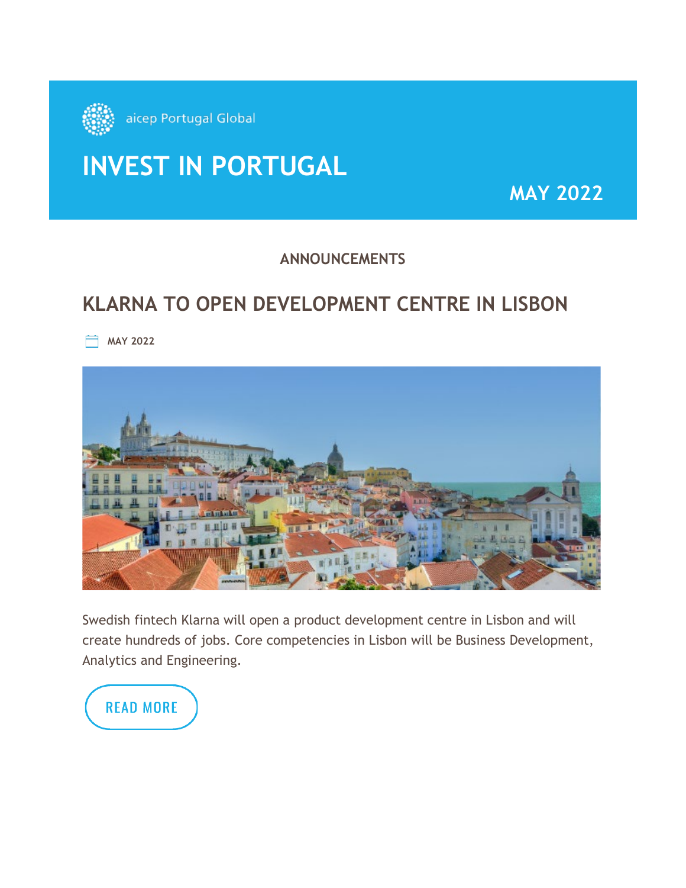

# **INVEST IN PORTUGAL**

**MAY 2022**

### **ANNOUNCEMENTS**

# **KLARNA TO OPEN DEVELOPMENT CENTRE IN LISBON**

**MAY 2022** 



Swedish fintech Klarna will open a product development centre in Lisbon and will create hundreds of jobs. Core competencies in Lisbon will be Business Development, Analytics and Engineering.

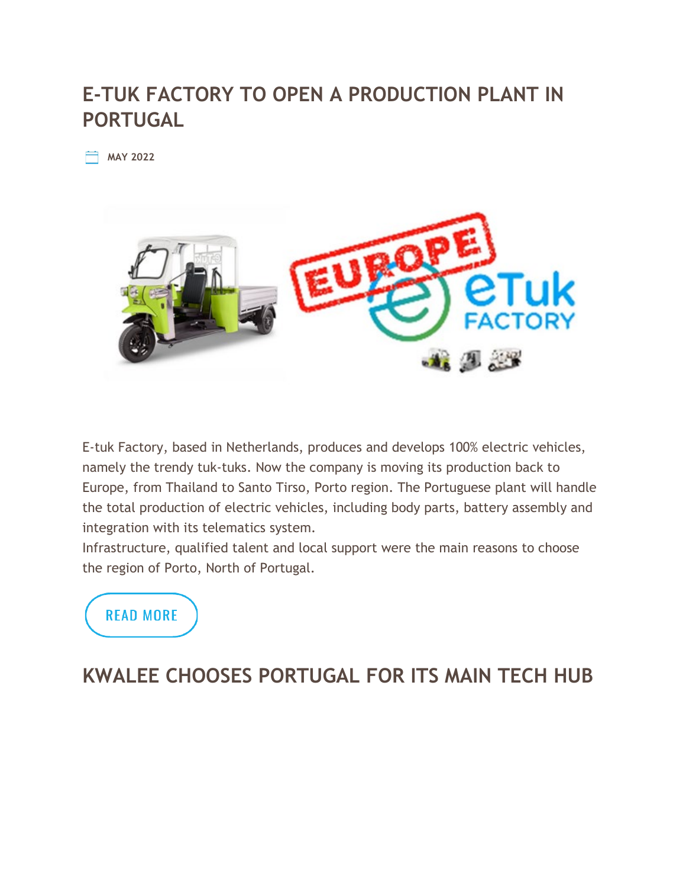# **E-TUK FACTORY TO OPEN A PRODUCTION PLANT IN PORTUGAL**

**MAY 2022**



E-tuk Factory, based in Netherlands, produces and develops 100% electric vehicles, namely the trendy tuk-tuks. Now the company is moving its production back to Europe, from Thailand to Santo Tirso, Porto region. The Portuguese plant will handle the total production of electric vehicles, including body parts, battery assembly and integration with its telematics system.

Infrastructure, qualified talent and local support were the main reasons to choose the region of Porto, North of Portugal.



# **KWALEE CHOOSES PORTUGAL FOR ITS MAIN TECH HUB**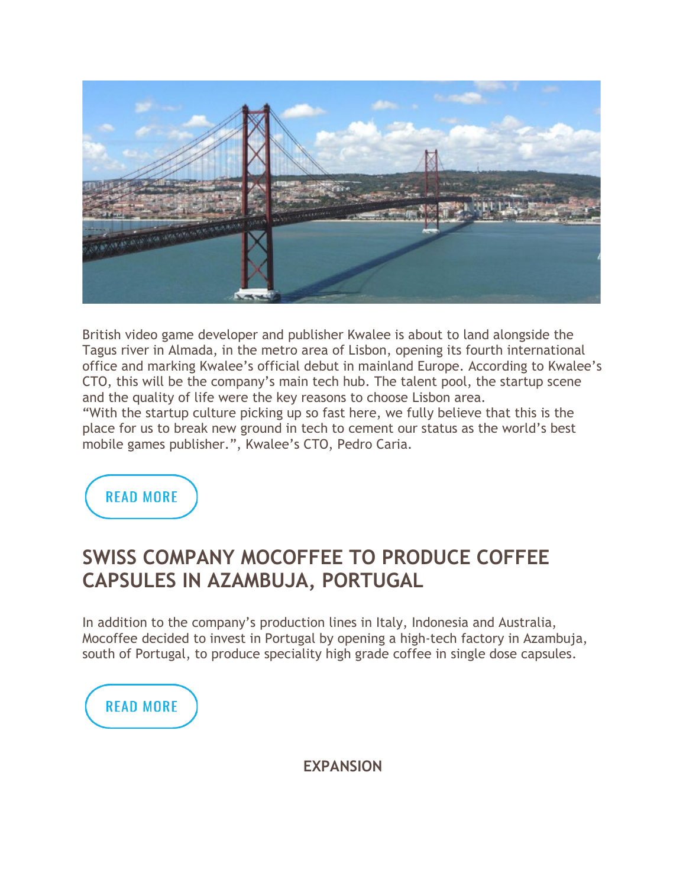

British video game developer and publisher Kwalee is about to land alongside the Tagus river in Almada, in the metro area of Lisbon, opening its fourth international office and marking Kwalee's official debut in mainland Europe. According to Kwalee's CTO, this will be the company's main tech hub. The talent pool, the startup scene and the quality of life were the key reasons to choose Lisbon area.

"With the startup culture picking up so fast here, we fully believe that this is the place for us to break new ground in tech to cement our status as the world's best mobile games publisher.", Kwalee's CTO, Pedro Caria.

**READ MORE** 

### **SWISS COMPANY MOCOFFEE TO PRODUCE COFFEE CAPSULES IN AZAMBUJA, PORTUGAL**

In addition to the company's production lines in Italy, Indonesia and Australia, Mocoffee decided to invest in Portugal by opening a high-tech factory in Azambuja, south of Portugal, to produce speciality high grade coffee in single dose capsules.



**EXPANSION**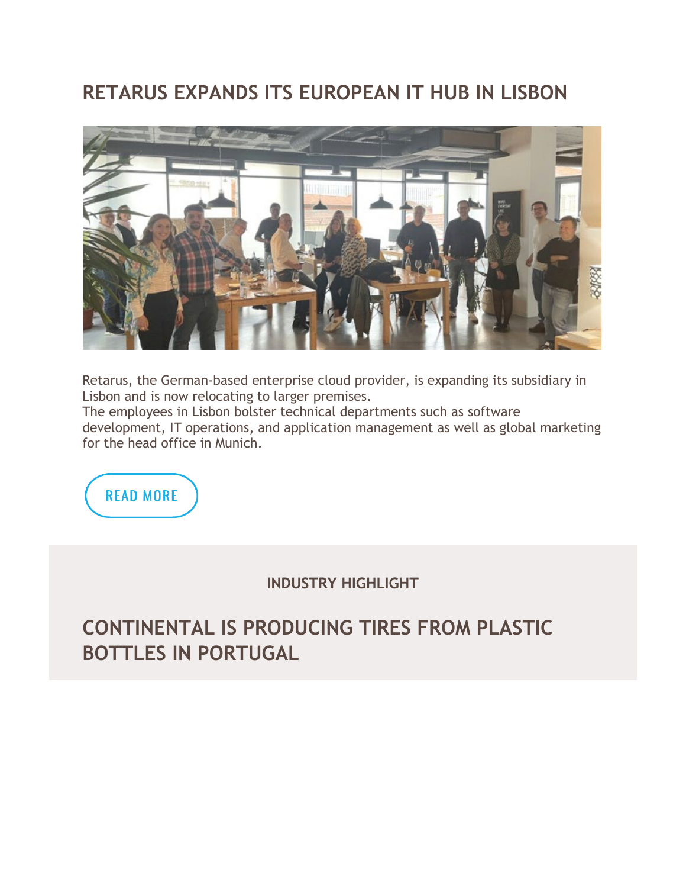# **RETARUS EXPANDS ITS EUROPEAN IT HUB IN LISBON**



Retarus, the German-based enterprise cloud provider, is expanding its subsidiary in Lisbon and is now relocating to larger premises.

The employees in Lisbon bolster technical departments such as software development, IT operations, and application management as well as global marketing for the head office in Munich.



**INDUSTRY HIGHLIGHT**

# **CONTINENTAL IS PRODUCING TIRES FROM PLASTIC BOTTLES IN PORTUGAL**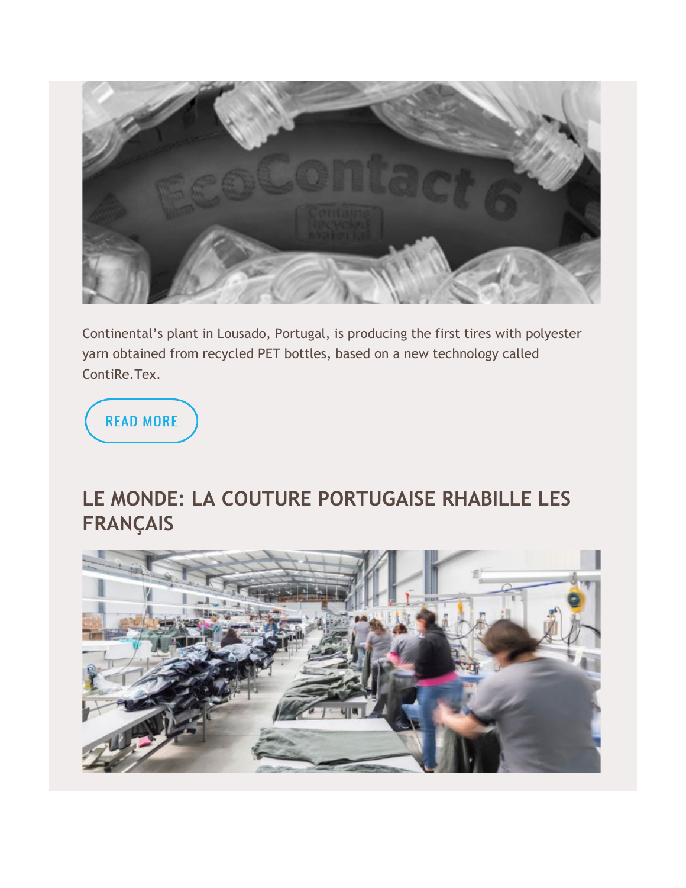

Continental's plant in Lousado, Portugal, is producing the first tires with polyester yarn obtained from recycled PET bottles, based on a new technology called ContiRe.Tex.

**READ MORE** 

# **LE MONDE: LA COUTURE PORTUGAISE RHABILLE LES FRANÇAIS**

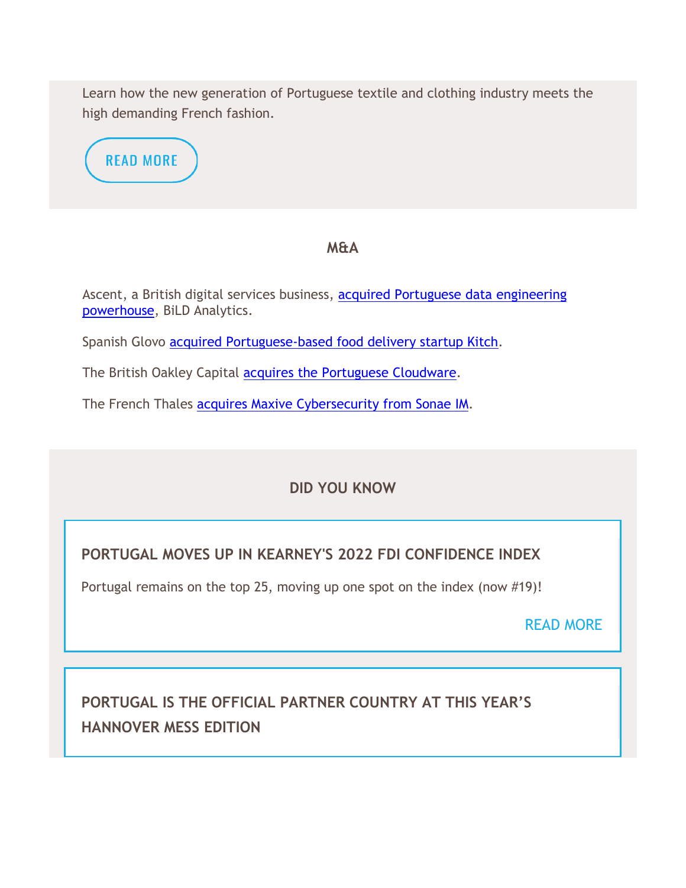Learn how the new generation of Portuguese textile and clothing industry meets the high demanding French fashion.



#### **M&A**

Ascent, a British digital services business, acquired Portuguese data engineering [powerhouse,](https://www.ascent.io/news/ascent-acquires-european-data-engineering-powerhouse-bild-analytics/?prev=news) BiLD Analytics.

Spanish Glovo [acquired Portuguese-based food delivery startup Kitch.](https://blog.kitch.io/post/glovo)

The British Oakley Capital [acquires the Portuguese Cloudware.](https://cloudware.pt/blog/comunicado-imprensa/)

The French Thales [acquires Maxive Cybersecurity from Sonae IM.](https://www.thalesgroup.com/en/worldwide/group/press_release/thales-signs-agreement-sonae-investment-management-acquire-s21sec-and)

### **DID YOU KNOW**

### **PORTUGAL MOVES UP IN KEARNEY'S 2022 FDI CONFIDENCE INDEX**

Portugal remains on the top 25, moving up one spot on the index (now #19)!

### [READ MORE](https://www.kearney.com/foreign-direct-investment-confidence-index)

### **PORTUGAL IS THE OFFICIAL PARTNER COUNTRY AT THIS YEAR'S HANNOVER MESS EDITION**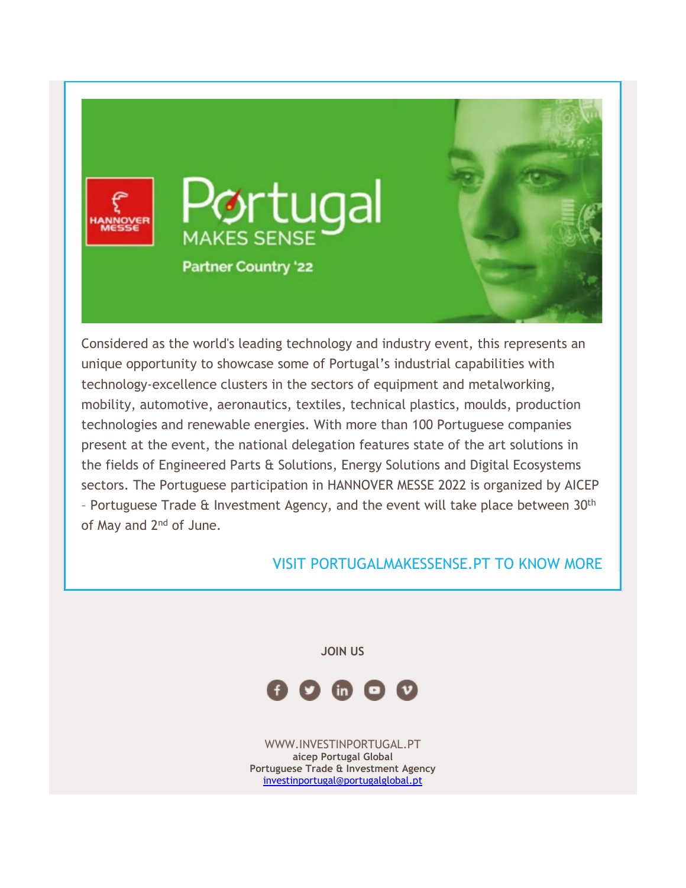

Considered as the world's leading technology and industry event, this represents an unique opportunity to showcase some of Portugal's industrial capabilities with technology-excellence clusters in the sectors of equipment and metalworking, mobility, automotive, aeronautics, textiles, technical plastics, moulds, production technologies and renewable energies. With more than 100 Portuguese companies present at the event, the national delegation features state of the art solutions in the fields of Engineered Parts & Solutions, Energy Solutions and Digital Ecosystems sectors. The Portuguese participation in HANNOVER MESSE 2022 is organized by AICEP – Portuguese Trade & Investment Agency, and the event will take place between 30th of May and 2<sup>nd</sup> of June.

#### [VISIT PORTUGALMAKESSENSE.PT TO KNOW MORE](https://www.portugalmakessense.pt/)

**JOIN US** 



[WWW.INVESTINPORTUGAL.PT](https://campanhas.portugalglobal.pt/r/29e6186e7d5483a905360fc6c?ct=YTo1OntzOjY6InNvdXJjZSI7YToyOntpOjA7czoxNDoiY2FtcGFpZ24uZXZlbnQiO2k6MTtpOjIzMDI7fXM6NToiZW1haWwiO2k6NjE1O3M6NDoic3RhdCI7czoyMjoiNjIwZTVmNDQwMjQ3MDE4MzIzMjE2NiI7czo0OiJsZWFkIjtzOjU6Ijg2OTk5IjtzOjc6ImNoYW5uZWwiO2E6MTp7czo1OiJlbWFpbCI7aTo2MTU7fX0%3D&utm_source=gestor&utm_medium=email&utm_campaign=newsletter-invest&utm_content=february-2022) **aicep Portugal Global Portuguese Trade & Investment Agency** [investinportugal@portugalglobal.pt](mailto:investinportugal@portugalglobal.pt)